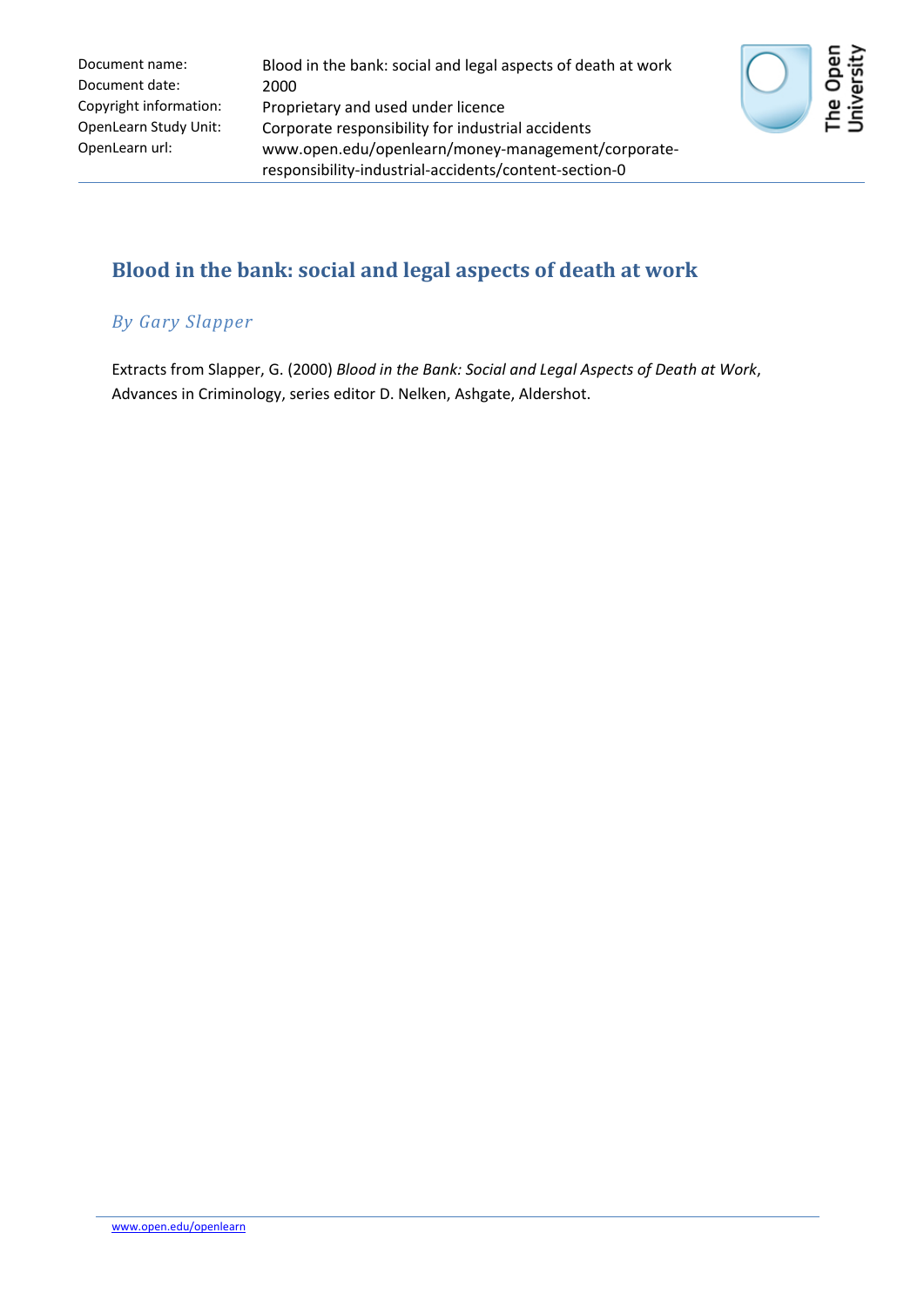Document date: 2000

Document name: Blood in the bank: social and legal aspects of death at work Copyright information: Proprietary and used under licence OpenLearn Study Unit: Corporate responsibility for industrial accidents OpenLearn url: [www.open.edu/openlearn/money-management/corporate](http://www.open.edu/openlearn/money-management/corporate-responsibility-industrial-accidents/content-section-0)responsibility-industrial-accidents/content-section-0



## **Blood in the bank: social and legal aspects of death at work**

## *By Gary Slapper*

 Extracts from Slapper, G. (2000) *Blood in the Bank: Social and Legal Aspects of Death at Work*, Advances in Criminology, series editor D. Nelken, Ashgate, Aldershot.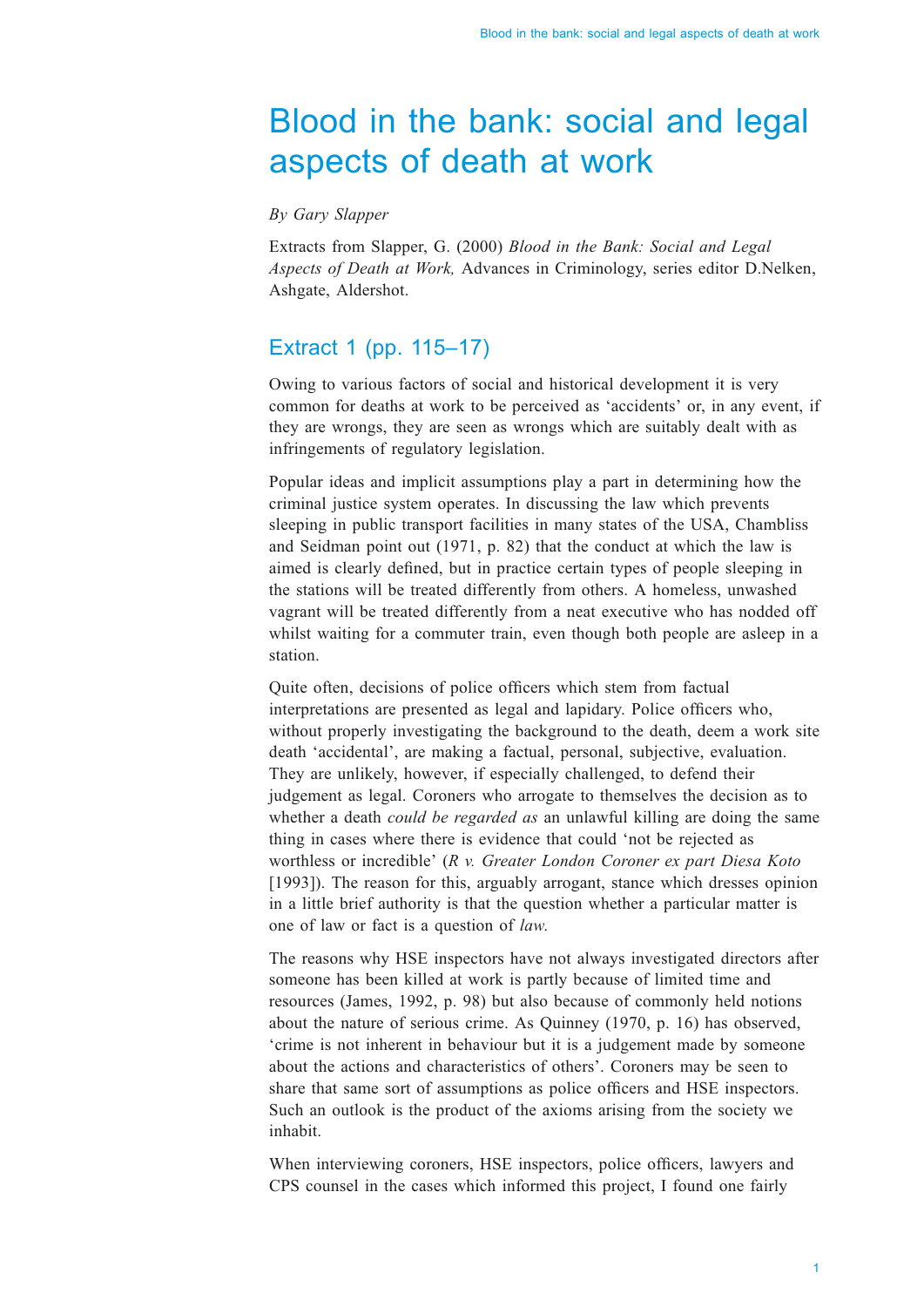# Blood in the bank: social and legal aspects of death at work

#### By Gary Slapper

Extracts from Slapper, G. (2000) Blood in the Bank: Social and Legal Aspects of Death at Work, Advances in Criminology, series editor D.Nelken, Ashgate, Aldershot.

## Extract 1 (pp. 115–17)

Owing to various factors of social and historical development it is very common for deaths at work to be perceived as 'accidents' or, in any event, if they are wrongs, they are seen as wrongs which are suitably dealt with as infringements of regulatory legislation.

Popular ideas and implicit assumptions play a part in determining how the criminal justice system operates. In discussing the law which prevents sleeping in public transport facilities in many states of the USA, Chambliss and Seidman point out (1971, p. 82) that the conduct at which the law is aimed is clearly defined, but in practice certain types of people sleeping in the stations will be treated differently from others. A homeless, unwashed vagrant will be treated differently from a neat executive who has nodded off whilst waiting for a commuter train, even though both people are asleep in a station.

Quite often, decisions of police officers which stem from factual interpretations are presented as legal and lapidary. Police officers who, without properly investigating the background to the death, deem a work site death 'accidental', are making a factual, personal, subjective, evaluation. They are unlikely, however, if especially challenged, to defend their judgement as legal. Coroners who arrogate to themselves the decision as to whether a death *could be regarded as* an unlawful killing are doing the same thing in cases where there is evidence that could 'not be rejected as worthless or incredible' (R v. Greater London Coroner ex part Diesa Koto [1993]). The reason for this, arguably arrogant, stance which dresses opinion in a little brief authority is that the question whether a particular matter is one of law or fact is a question of law.

The reasons why HSE inspectors have not always investigated directors after someone has been killed at work is partly because of limited time and resources (James, 1992, p. 98) but also because of commonly held notions about the nature of serious crime. As Quinney (1970, p. 16) has observed, 'crime is not inherent in behaviour but it is a judgement made by someone about the actions and characteristics of others'. Coroners may be seen to share that same sort of assumptions as police officers and HSE inspectors. Such an outlook is the product of the axioms arising from the society we inhabit.

When interviewing coroners, HSE inspectors, police officers, lawyers and CPS counsel in the cases which informed this project, I found one fairly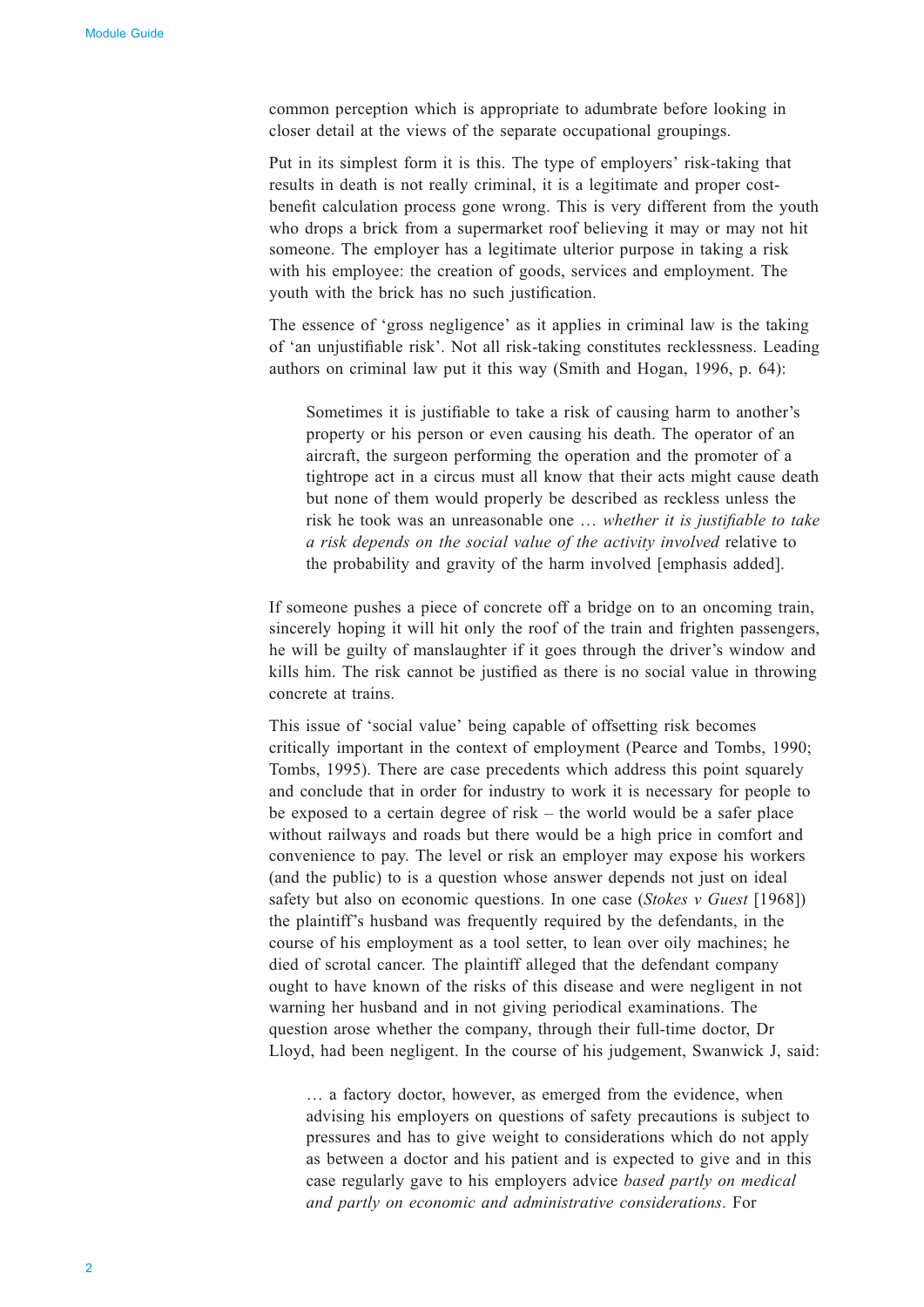common perception which is appropriate to adumbrate before looking in closer detail at the views of the separate occupational groupings.

Put in its simplest form it is this. The type of employers' risk-taking that results in death is not really criminal, it is a legitimate and proper costbenefit calculation process gone wrong. This is very different from the youth who drops a brick from a supermarket roof believing it may or may not hit someone. The employer has a legitimate ulterior purpose in taking a risk with his employee: the creation of goods, services and employment. The youth with the brick has no such justification.

The essence of 'gross negligence' as it applies in criminal law is the taking of 'an unjustifiable risk'. Not all risk-taking constitutes recklessness. Leading authors on criminal law put it this way (Smith and Hogan, 1996, p. 64):

Sometimes it is justifiable to take a risk of causing harm to another's property or his person or even causing his death. The operator of an aircraft, the surgeon performing the operation and the promoter of a tightrope act in a circus must all know that their acts might cause death but none of them would properly be described as reckless unless the risk he took was an unreasonable one … whether it is justifiable to take a risk depends on the social value of the activity involved relative to the probability and gravity of the harm involved [emphasis added].

If someone pushes a piece of concrete off a bridge on to an oncoming train, sincerely hoping it will hit only the roof of the train and frighten passengers, he will be guilty of manslaughter if it goes through the driver's window and kills him. The risk cannot be justified as there is no social value in throwing concrete at trains.

This issue of 'social value' being capable of offsetting risk becomes critically important in the context of employment (Pearce and Tombs, 1990; Tombs, 1995). There are case precedents which address this point squarely and conclude that in order for industry to work it is necessary for people to be exposed to a certain degree of risk – the world would be a safer place without railways and roads but there would be a high price in comfort and convenience to pay. The level or risk an employer may expose his workers (and the public) to is a question whose answer depends not just on ideal safety but also on economic questions. In one case (Stokes v Guest [1968]) the plaintiff's husband was frequently required by the defendants, in the course of his employment as a tool setter, to lean over oily machines; he died of scrotal cancer. The plaintiff alleged that the defendant company ought to have known of the risks of this disease and were negligent in not warning her husband and in not giving periodical examinations. The question arose whether the company, through their full-time doctor, Dr Lloyd, had been negligent. In the course of his judgement, Swanwick J, said:

… a factory doctor, however, as emerged from the evidence, when advising his employers on questions of safety precautions is subject to pressures and has to give weight to considerations which do not apply as between a doctor and his patient and is expected to give and in this case regularly gave to his employers advice based partly on medical and partly on economic and administrative considerations. For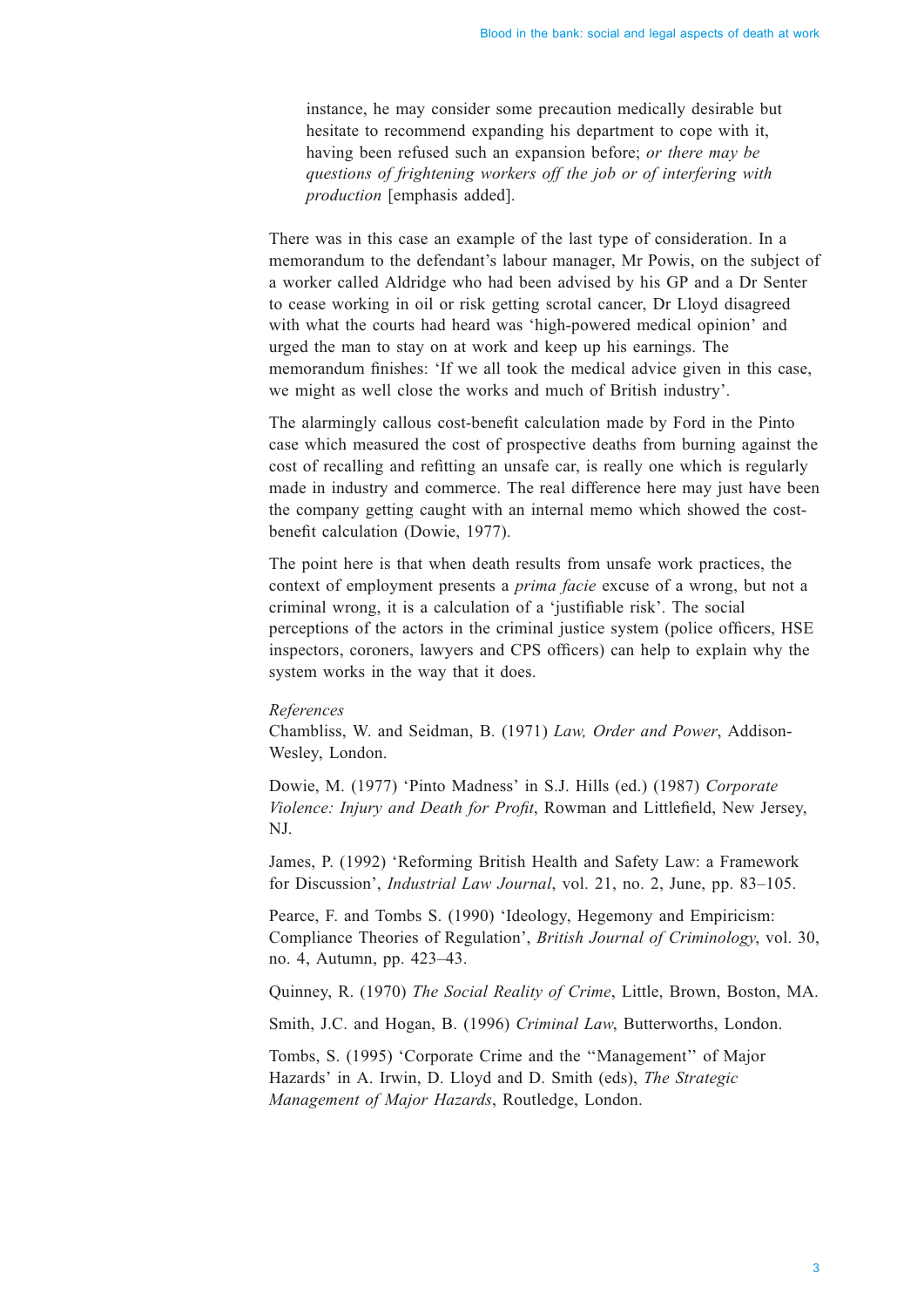instance, he may consider some precaution medically desirable but hesitate to recommend expanding his department to cope with it, having been refused such an expansion before; or there may be questions of frightening workers off the job or of interfering with production [emphasis added].

There was in this case an example of the last type of consideration. In a memorandum to the defendant's labour manager, Mr Powis, on the subject of a worker called Aldridge who had been advised by his GP and a Dr Senter to cease working in oil or risk getting scrotal cancer, Dr Lloyd disagreed with what the courts had heard was 'high-powered medical opinion' and urged the man to stay on at work and keep up his earnings. The memorandum finishes: 'If we all took the medical advice given in this case, we might as well close the works and much of British industry'.

The alarmingly callous cost-benefit calculation made by Ford in the Pinto case which measured the cost of prospective deaths from burning against the cost of recalling and refitting an unsafe car, is really one which is regularly made in industry and commerce. The real difference here may just have been the company getting caught with an internal memo which showed the costbenefit calculation (Dowie, 1977).

The point here is that when death results from unsafe work practices, the context of employment presents a prima facie excuse of a wrong, but not a criminal wrong, it is a calculation of a 'justifiable risk'. The social perceptions of the actors in the criminal justice system (police officers, HSE inspectors, coroners, lawyers and CPS officers) can help to explain why the system works in the way that it does.

#### References

Chambliss, W. and Seidman, B. (1971) Law, Order and Power, Addison-Wesley, London.

Dowie, M. (1977) 'Pinto Madness' in S.J. Hills (ed.) (1987) Corporate Violence: Injury and Death for Profit, Rowman and Littlefield, New Jersey, NJ.

James, P. (1992) 'Reforming British Health and Safety Law: a Framework for Discussion', Industrial Law Journal, vol. 21, no. 2, June, pp. 83–105.

Pearce, F. and Tombs S. (1990) 'Ideology, Hegemony and Empiricism: Compliance Theories of Regulation', British Journal of Criminology, vol. 30, no. 4, Autumn, pp. 423–43.

Quinney, R. (1970) The Social Reality of Crime, Little, Brown, Boston, MA.

Smith, J.C. and Hogan, B. (1996) Criminal Law, Butterworths, London.

Tombs, S. (1995) 'Corporate Crime and the ''Management'' of Major Hazards' in A. Irwin, D. Lloyd and D. Smith (eds), The Strategic Management of Major Hazards, Routledge, London.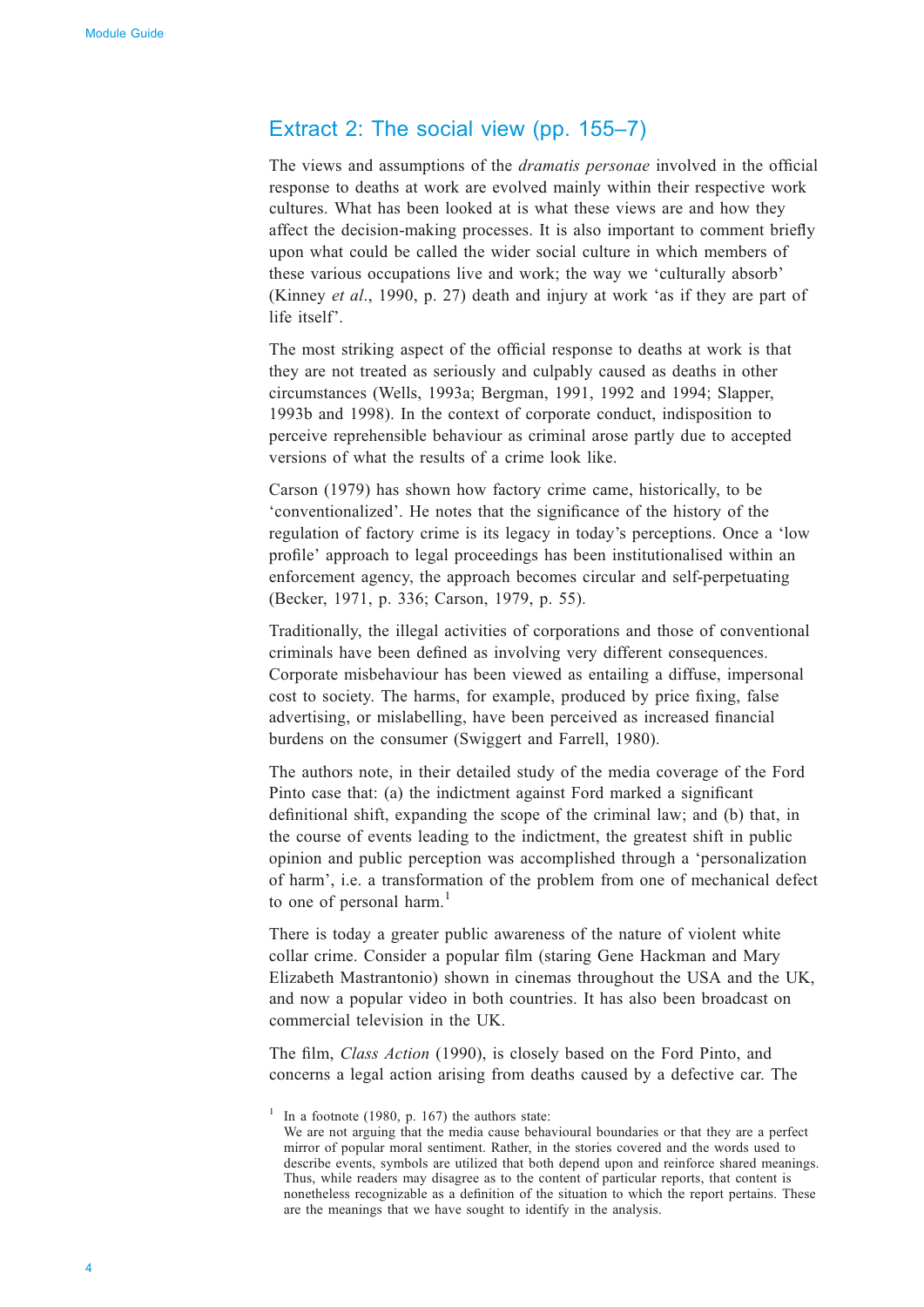### Extract 2: The social view (pp. 155–7)

The views and assumptions of the dramatis personae involved in the official response to deaths at work are evolved mainly within their respective work cultures. What has been looked at is what these views are and how they affect the decision-making processes. It is also important to comment briefly upon what could be called the wider social culture in which members of these various occupations live and work; the way we 'culturally absorb' (Kinney et al., 1990, p. 27) death and injury at work 'as if they are part of life itself'.

The most striking aspect of the official response to deaths at work is that they are not treated as seriously and culpably caused as deaths in other circumstances (Wells, 1993a; Bergman, 1991, 1992 and 1994; Slapper, 1993b and 1998). In the context of corporate conduct, indisposition to perceive reprehensible behaviour as criminal arose partly due to accepted versions of what the results of a crime look like.

Carson (1979) has shown how factory crime came, historically, to be 'conventionalized'. He notes that the significance of the history of the regulation of factory crime is its legacy in today's perceptions. Once a 'low profile' approach to legal proceedings has been institutionalised within an enforcement agency, the approach becomes circular and self-perpetuating (Becker, 1971, p. 336; Carson, 1979, p. 55).

Traditionally, the illegal activities of corporations and those of conventional criminals have been defined as involving very different consequences. Corporate misbehaviour has been viewed as entailing a diffuse, impersonal cost to society. The harms, for example, produced by price fixing, false advertising, or mislabelling, have been perceived as increased financial burdens on the consumer (Swiggert and Farrell, 1980).

The authors note, in their detailed study of the media coverage of the Ford Pinto case that: (a) the indictment against Ford marked a significant definitional shift, expanding the scope of the criminal law; and (b) that, in the course of events leading to the indictment, the greatest shift in public opinion and public perception was accomplished through a 'personalization of harm', i.e. a transformation of the problem from one of mechanical defect to one of personal harm.<sup>1</sup>

There is today a greater public awareness of the nature of violent white collar crime. Consider a popular film (staring Gene Hackman and Mary Elizabeth Mastrantonio) shown in cinemas throughout the USA and the UK, and now a popular video in both countries. It has also been broadcast on commercial television in the UK.

The film, Class Action (1990), is closely based on the Ford Pinto, and concerns a legal action arising from deaths caused by a defective car. The

In a footnote  $(1980, p. 167)$  the authors state:

We are not arguing that the media cause behavioural boundaries or that they are a perfect mirror of popular moral sentiment. Rather, in the stories covered and the words used to describe events, symbols are utilized that both depend upon and reinforce shared meanings. Thus, while readers may disagree as to the content of particular reports, that content is nonetheless recognizable as a definition of the situation to which the report pertains. These are the meanings that we have sought to identify in the analysis.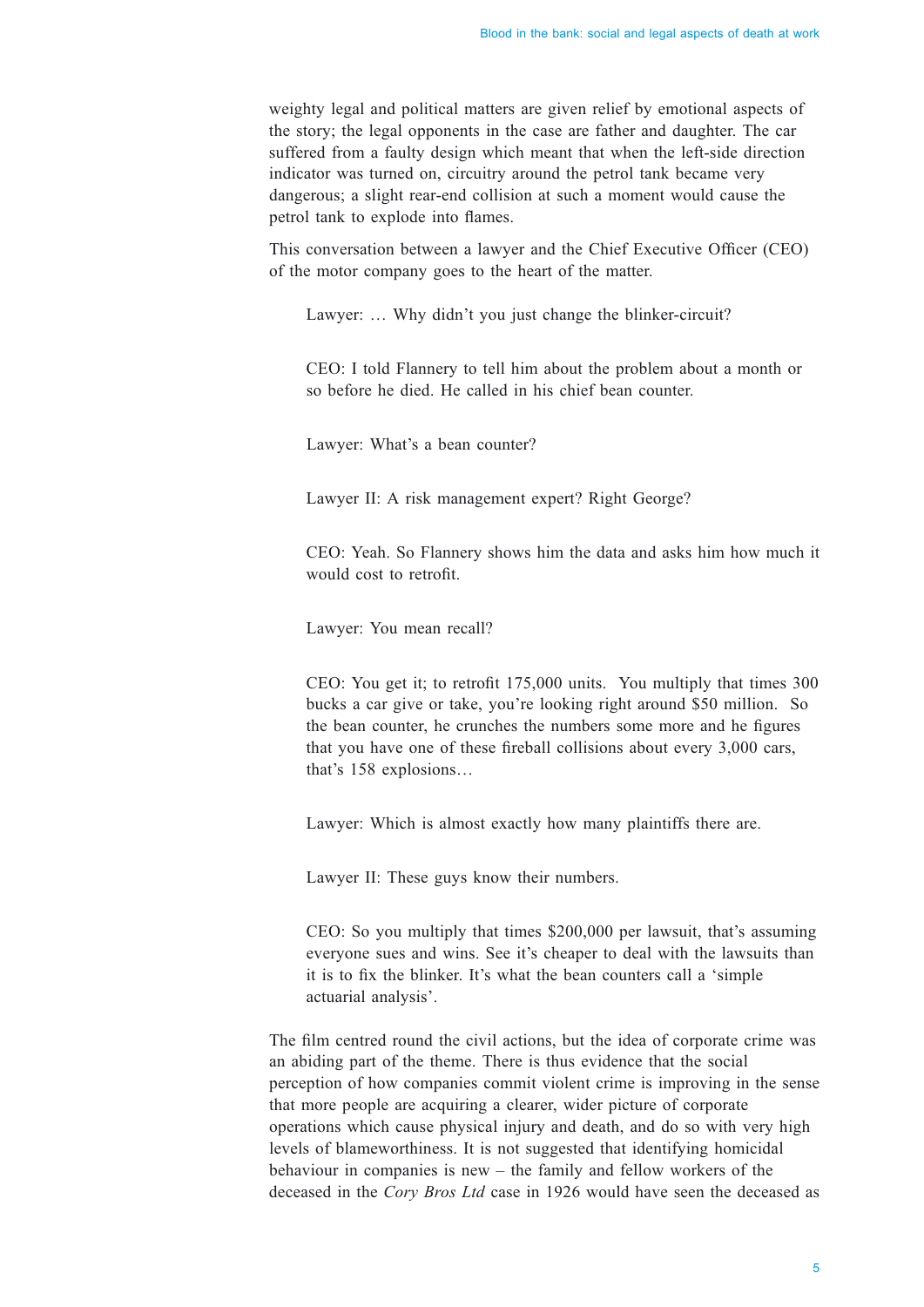weighty legal and political matters are given relief by emotional aspects of the story; the legal opponents in the case are father and daughter. The car suffered from a faulty design which meant that when the left-side direction indicator was turned on, circuitry around the petrol tank became very dangerous; a slight rear-end collision at such a moment would cause the petrol tank to explode into flames.

This conversation between a lawyer and the Chief Executive Officer (CEO) of the motor company goes to the heart of the matter.

Lawyer: ... Why didn't you just change the blinker-circuit?

CEO: I told Flannery to tell him about the problem about a month or so before he died. He called in his chief bean counter.

Lawyer: What's a bean counter?

Lawyer II: A risk management expert? Right George?

CEO: Yeah. So Flannery shows him the data and asks him how much it would cost to retrofit.

Lawyer: You mean recall?

CEO: You get it; to retrofit 175,000 units. You multiply that times 300 bucks a car give or take, you're looking right around \$50 million. So the bean counter, he crunches the numbers some more and he figures that you have one of these fireball collisions about every 3,000 cars, that's 158 explosions…

Lawyer: Which is almost exactly how many plaintiffs there are.

Lawyer II: These guys know their numbers.

CEO: So you multiply that times \$200,000 per lawsuit, that's assuming everyone sues and wins. See it's cheaper to deal with the lawsuits than it is to fix the blinker. It's what the bean counters call a 'simple actuarial analysis'.

The film centred round the civil actions, but the idea of corporate crime was an abiding part of the theme. There is thus evidence that the social perception of how companies commit violent crime is improving in the sense that more people are acquiring a clearer, wider picture of corporate operations which cause physical injury and death, and do so with very high levels of blameworthiness. It is not suggested that identifying homicidal behaviour in companies is new – the family and fellow workers of the deceased in the Cory Bros Ltd case in 1926 would have seen the deceased as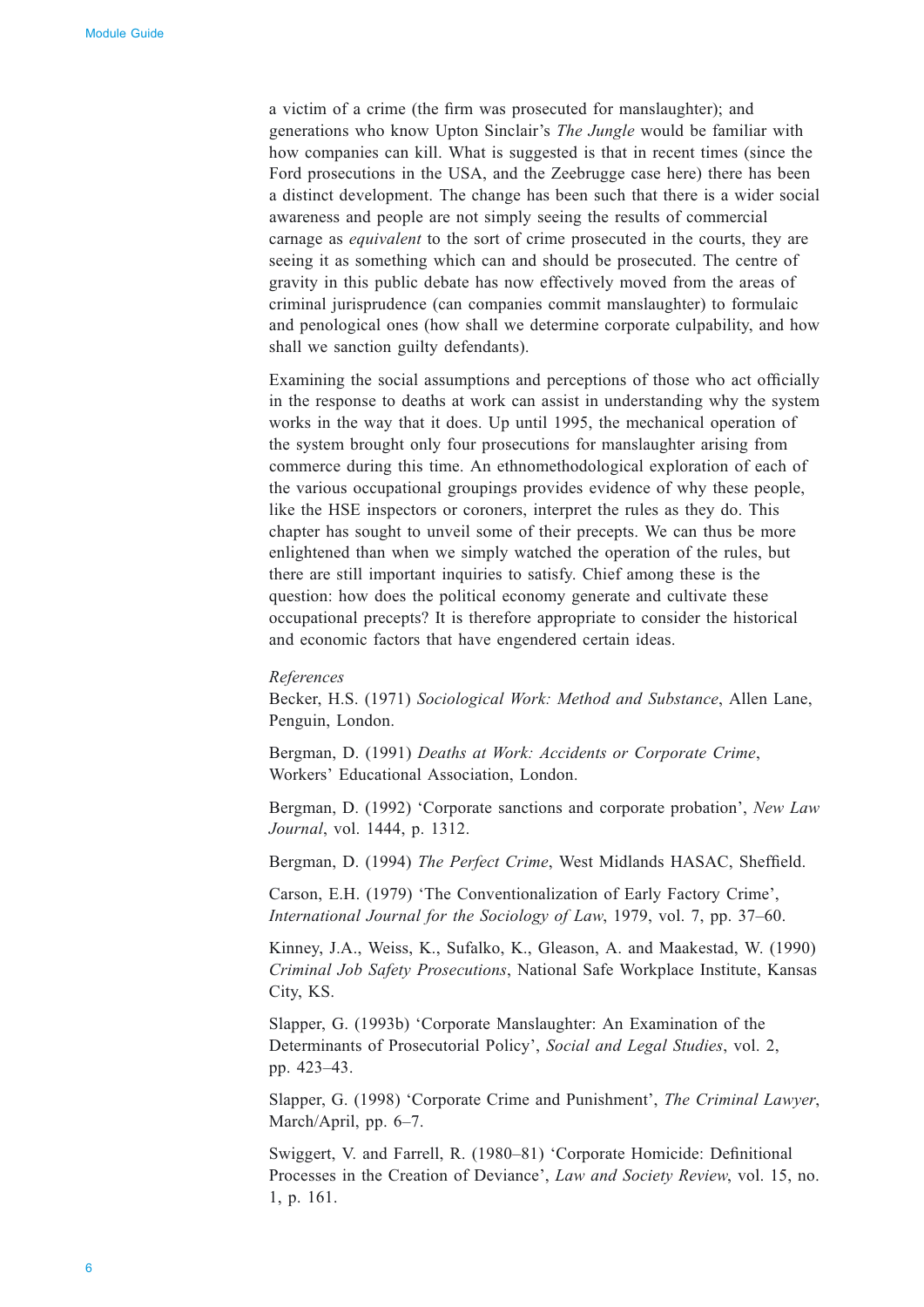a victim of a crime (the firm was prosecuted for manslaughter); and generations who know Upton Sinclair's The Jungle would be familiar with how companies can kill. What is suggested is that in recent times (since the Ford prosecutions in the USA, and the Zeebrugge case here) there has been a distinct development. The change has been such that there is a wider social awareness and people are not simply seeing the results of commercial carnage as equivalent to the sort of crime prosecuted in the courts, they are seeing it as something which can and should be prosecuted. The centre of gravity in this public debate has now effectively moved from the areas of criminal jurisprudence (can companies commit manslaughter) to formulaic and penological ones (how shall we determine corporate culpability, and how shall we sanction guilty defendants).

Examining the social assumptions and perceptions of those who act officially in the response to deaths at work can assist in understanding why the system works in the way that it does. Up until 1995, the mechanical operation of the system brought only four prosecutions for manslaughter arising from commerce during this time. An ethnomethodological exploration of each of the various occupational groupings provides evidence of why these people, like the HSE inspectors or coroners, interpret the rules as they do. This chapter has sought to unveil some of their precepts. We can thus be more enlightened than when we simply watched the operation of the rules, but there are still important inquiries to satisfy. Chief among these is the question: how does the political economy generate and cultivate these occupational precepts? It is therefore appropriate to consider the historical and economic factors that have engendered certain ideas.

#### References

Becker, H.S. (1971) Sociological Work: Method and Substance, Allen Lane, Penguin, London.

Bergman, D. (1991) Deaths at Work: Accidents or Corporate Crime, Workers' Educational Association, London.

Bergman, D. (1992) 'Corporate sanctions and corporate probation', New Law Journal, vol. 1444, p. 1312.

Bergman, D. (1994) The Perfect Crime, West Midlands HASAC, Sheffield.

Carson, E.H. (1979) 'The Conventionalization of Early Factory Crime', International Journal for the Sociology of Law, 1979, vol. 7, pp. 37–60.

Kinney, J.A., Weiss, K., Sufalko, K., Gleason, A. and Maakestad, W. (1990) Criminal Job Safety Prosecutions, National Safe Workplace Institute, Kansas City, KS.

Slapper, G. (1993b) 'Corporate Manslaughter: An Examination of the Determinants of Prosecutorial Policy', Social and Legal Studies, vol. 2, pp. 423–43.

Slapper, G. (1998) 'Corporate Crime and Punishment', The Criminal Lawyer, March/April, pp. 6–7.

Swiggert, V. and Farrell, R. (1980–81) 'Corporate Homicide: Definitional Processes in the Creation of Deviance', Law and Society Review, vol. 15, no. 1, p. 161.